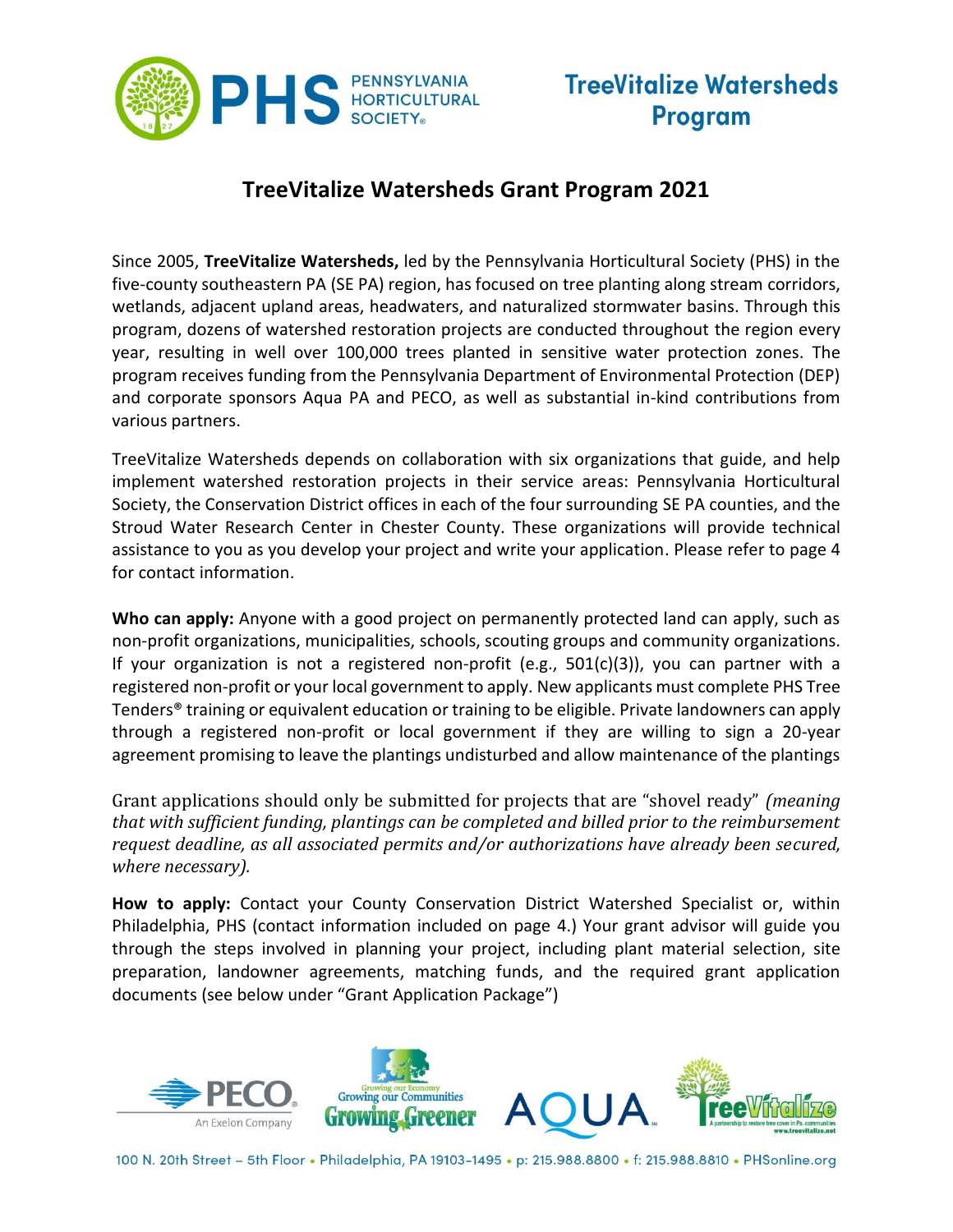

#### **TreeVitalize Watersheds Grant Program 2021**

Since 2005, **TreeVitalize Watersheds,** led by the Pennsylvania Horticultural Society (PHS) in the five-county southeastern PA (SE PA) region, has focused on tree planting along stream corridors, wetlands, adjacent upland areas, headwaters, and naturalized stormwater basins. Through this program, dozens of watershed restoration projects are conducted throughout the region every year, resulting in well over 100,000 trees planted in sensitive water protection zones. The program receives funding from the Pennsylvania Department of Environmental Protection (DEP) and corporate sponsors Aqua PA and PECO, as well as substantial in-kind contributions from various partners.

TreeVitalize Watersheds depends on collaboration with six organizations that guide, and help implement watershed restoration projects in their service areas: Pennsylvania Horticultural Society, the Conservation District offices in each of the four surrounding SE PA counties, and the Stroud Water Research Center in Chester County. These organizations will provide technical assistance to you as you develop your project and write your application. Please refer to page 4 for contact information.

**Who can apply:** Anyone with a good project on permanently protected land can apply, such as non-profit organizations, municipalities, schools, scouting groups and community organizations. If your organization is not a registered non-profit (e.g.,  $501(c)(3)$ ), you can partner with a registered non-profit or your local government to apply. New applicants must complete PHS Tree Tenders® training or equivalent education or training to be eligible. Private landowners can apply through a registered non-profit or local government if they are willing to sign a 20-year agreement promising to leave the plantings undisturbed and allow maintenance of the plantings

Grant applications should only be submitted for projects that are "shovel ready" *(meaning that with sufficient funding, plantings can be completed and billed prior to the reimbursement request deadline, as all associated permits and/or authorizations have already been secured, where necessary).*

**How to apply:** Contact your County Conservation District Watershed Specialist or, within Philadelphia, PHS (contact information included on page 4.) Your grant advisor will guide you through the steps involved in planning your project, including plant material selection, site preparation, landowner agreements, matching funds, and the required grant application documents (see below under "Grant Application Package")

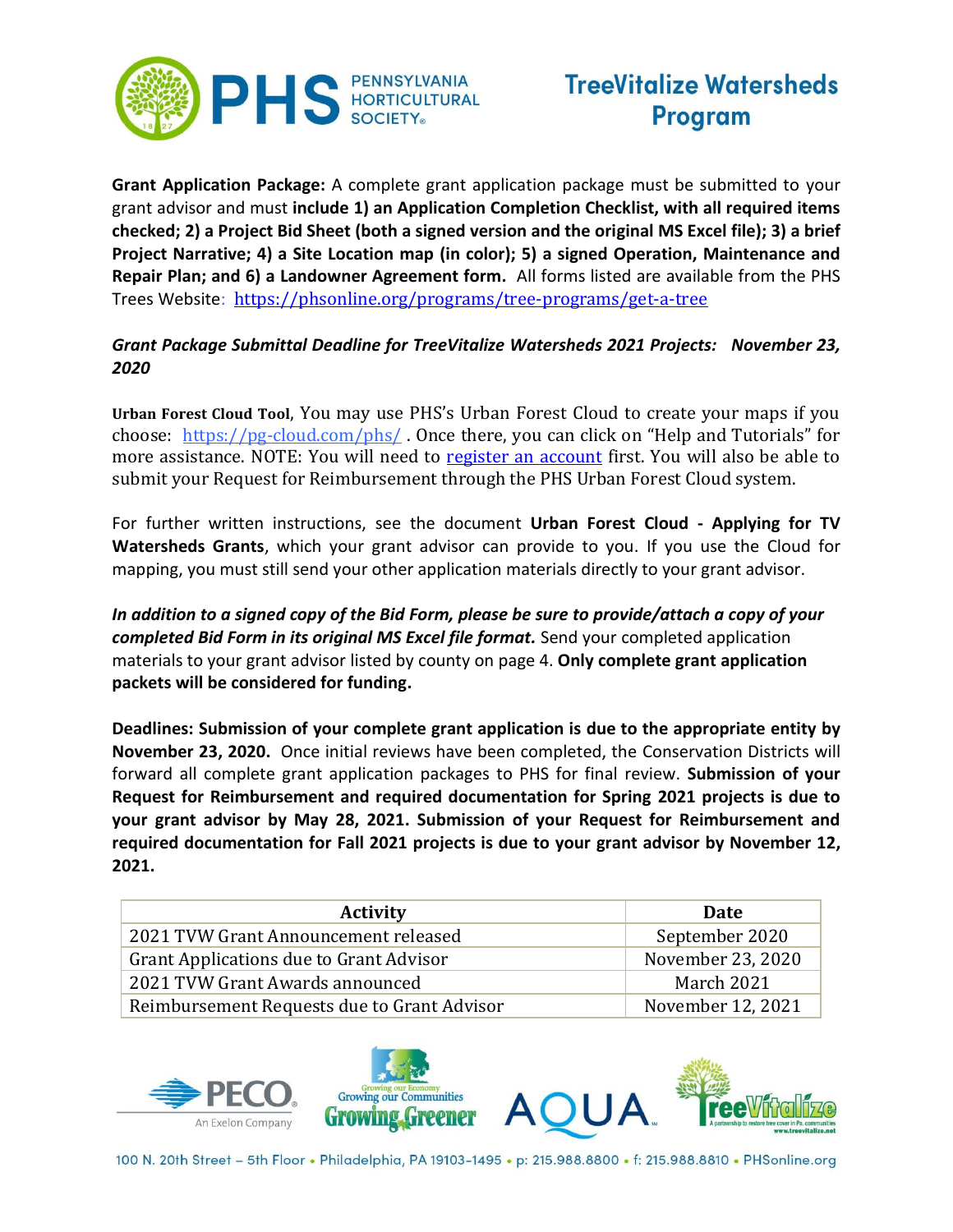

**Grant Application Package:** A complete grant application package must be submitted to your grant advisor and must **include 1) an Application Completion Checklist, with all required items checked; 2) a Project Bid Sheet (both a signed version and the original MS Excel file); 3) a brief Project Narrative; 4) a Site Location map (in color); 5) a signed Operation, Maintenance and Repair Plan; and 6) a Landowner Agreement form.** All forms listed are available from the PHS Trees Website: <https://phsonline.org/programs/tree-programs/get-a-tree>

#### *Grant Package Submittal Deadline for TreeVitalize Watersheds 2021 Projects: November 23, 2020*

**Urban Forest Cloud Tool**, You may use PHS's Urban Forest Cloud to create your maps if you choose: <https://pg-cloud.com/phs/> . Once there, you can click on "Help and Tutorials" for more assistance. NOTE: You will need to [register an account](https://pg-cloud.com/phs/?open=selfReg&openSection=account) first. You will also be able to submit your Request for Reimbursement through the PHS Urban Forest Cloud system.

For further written instructions, see the document **Urban Forest Cloud - Applying for TV Watersheds Grants**, which your grant advisor can provide to you. If you use the Cloud for mapping, you must still send your other application materials directly to your grant advisor.

*In addition to a signed copy of the Bid Form, please be sure to provide/attach a copy of your completed Bid Form in its original MS Excel file format.* Send your completed application materials to your grant advisor listed by county on page 4. **Only complete grant application packets will be considered for funding.**

**Deadlines: Submission of your complete grant application is due to the appropriate entity by November 23, 2020.** Once initial reviews have been completed, the Conservation Districts will forward all complete grant application packages to PHS for final review. **Submission of your Request for Reimbursement and required documentation for Spring 2021 projects is due to your grant advisor by May 28, 2021. Submission of your Request for Reimbursement and required documentation for Fall 2021 projects is due to your grant advisor by November 12, 2021.**

| <b>Activity</b>                             | <b>Date</b>       |
|---------------------------------------------|-------------------|
| 2021 TVW Grant Announcement released        | September 2020    |
| Grant Applications due to Grant Advisor     | November 23, 2020 |
| 2021 TVW Grant Awards announced             | March 2021        |
| Reimbursement Requests due to Grant Advisor | November 12, 2021 |







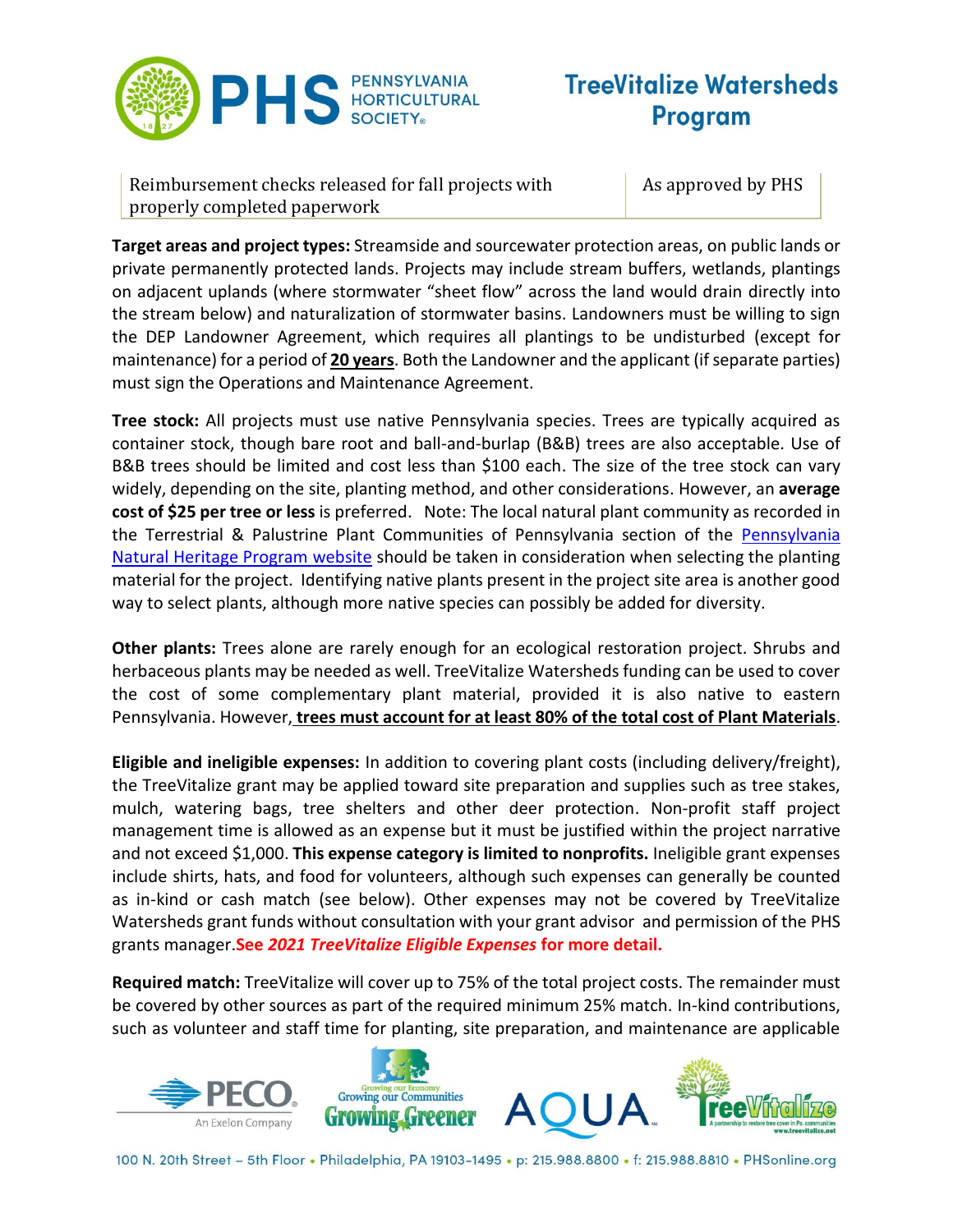

Reimbursement checks released for fall projects with properly completed paperwork

As approved by PHS

**Target areas and project types:** Streamside and sourcewater protection areas, on public lands or private permanently protected lands. Projects may include stream buffers, wetlands, plantings on adjacent uplands (where stormwater "sheet flow" across the land would drain directly into the stream below) and naturalization of stormwater basins. Landowners must be willing to sign the DEP Landowner Agreement, which requires all plantings to be undisturbed (except for maintenance) for a period of **20 years**. Both the Landowner and the applicant (if separate parties) must sign the Operations and Maintenance Agreement.

**Tree stock:** All projects must use native Pennsylvania species. Trees are typically acquired as container stock, though bare root and ball-and-burlap (B&B) trees are also acceptable. Use of B&B trees should be limited and cost less than \$100 each. The size of the tree stock can vary widely, depending on the site, planting method, and other considerations. However, an **average cost of \$25 per tree or less** is preferred. Note: The local natural plant community as recorded in the Terrestrial & Palustrine Plant Communities of Pennsylvania section of the [Pennsylvania](http://www.naturalheritage.state.pa.us/communities.aspx)  [Natural Heritage Program website](http://www.naturalheritage.state.pa.us/communities.aspx) should be taken in consideration when selecting the planting material for the project. Identifying native plants present in the project site area is another good way to select plants, although more native species can possibly be added for diversity.

**Other plants:** Trees alone are rarely enough for an ecological restoration project. Shrubs and herbaceous plants may be needed as well. TreeVitalize Watersheds funding can be used to cover the cost of some complementary plant material, provided it is also native to eastern Pennsylvania. However, **trees must account for at least 80% of the total cost of Plant Materials**.

**Eligible and ineligible expenses:** In addition to covering plant costs (including delivery/freight), the TreeVitalize grant may be applied toward site preparation and supplies such as tree stakes, mulch, watering bags, tree shelters and other deer protection. Non-profit staff project management time is allowed as an expense but it must be justified within the project narrative and not exceed \$1,000. **This expense category is limited to nonprofits.** Ineligible grant expenses include shirts, hats, and food for volunteers, although such expenses can generally be counted as in-kind or cash match (see below). Other expenses may not be covered by TreeVitalize Watersheds grant funds without consultation with your grant advisor and permission of the PHS grants manager.**See** *2021 TreeVitalize Eligible Expenses* **for more detail.**

**Required match:** TreeVitalize will cover up to 75% of the total project costs. The remainder must be covered by other sources as part of the required minimum 25% match. In-kind contributions, such as volunteer and staff time for planting, site preparation, and maintenance are applicable

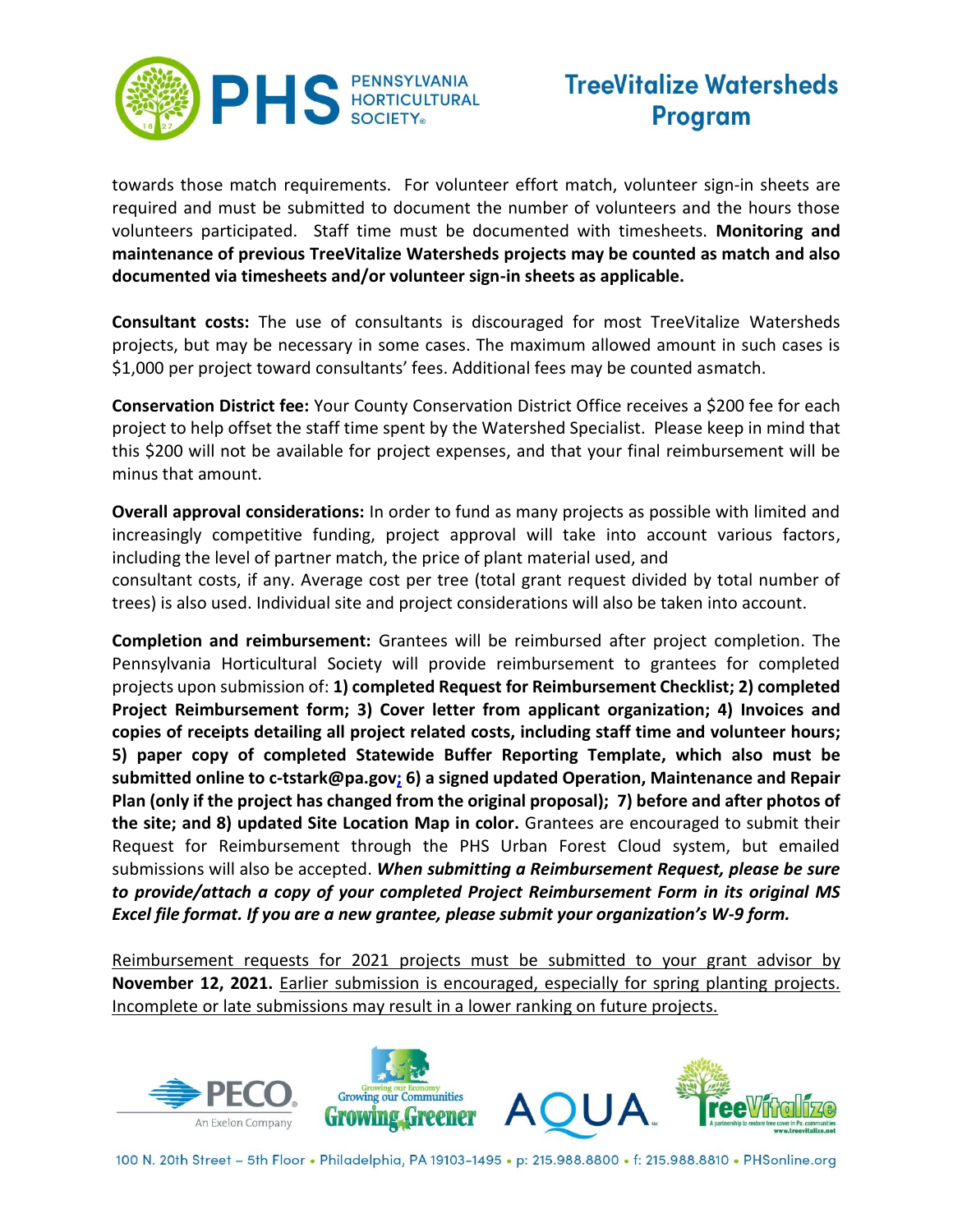

towards those match requirements. For volunteer effort match, volunteer sign-in sheets are required and must be submitted to document the number of volunteers and the hours those volunteers participated. Staff time must be documented with timesheets. **Monitoring and maintenance of previous TreeVitalize Watersheds projects may be counted as match and also documented via timesheets and/or volunteer sign-in sheets as applicable.**

**Consultant costs:** The use of consultants is discouraged for most TreeVitalize Watersheds projects, but may be necessary in some cases. The maximum allowed amount in such cases is \$1,000 per project toward consultants' fees. Additional fees may be counted asmatch.

**Conservation District fee:** Your County Conservation District Office receives a \$200 fee for each project to help offset the staff time spent by the Watershed Specialist. Please keep in mind that this \$200 will not be available for project expenses, and that your final reimbursement will be minus that amount.

**Overall approval considerations:** In order to fund as many projects as possible with limited and increasingly competitive funding, project approval will take into account various factors, including the level of partner match, the price of plant material used, and

consultant costs, if any. Average cost per tree (total grant request divided by total number of trees) is also used. Individual site and project considerations will also be taken into account.

**Completion and reimbursement:** Grantees will be reimbursed after project completion. The Pennsylvania Horticultural Society will provide reimbursement to grantees for completed projects upon submission of: **1) completed Request for Reimbursement Checklist; 2) completed Project Reimbursement form; 3) Cover letter from applicant organization; 4) Invoices and copies of receipts detailing all project related costs, including staff time and volunteer hours; 5) paper copy of completed Statewide Buffer Reporting Template, which also must be submitted online to c-tstark@pa.gov; 6) a signed updated Operation, Maintenance and Repair Plan (only if the project has changed from the original proposal); 7) before and after photos of the site; and 8) updated Site Location Map in color.** Grantees are encouraged to submit their Request for Reimbursement through the PHS Urban Forest Cloud system, but emailed submissions will also be accepted. *When submitting a Reimbursement Request, please be sure to provide/attach a copy of your completed Project Reimbursement Form in its original MS Excel file format. If you are a new grantee, please submit your organization's W-9 form.*

Reimbursement requests for 2021 projects must be submitted to your grant advisor by **November 12, 2021.** Earlier submission is encouraged, especially for spring planting projects. Incomplete or late submissions may result in a lower ranking on future projects.

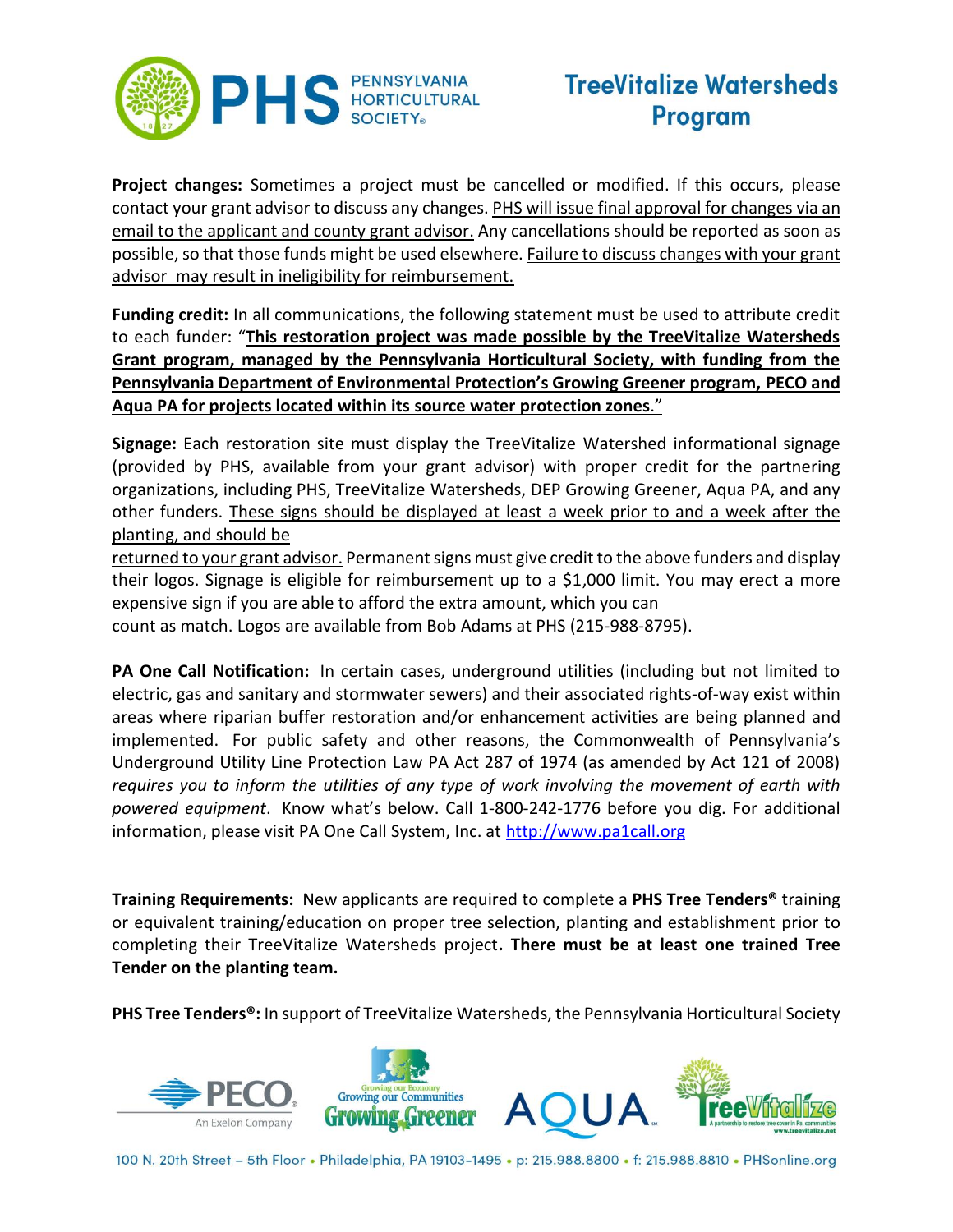

**Project changes:** Sometimes a project must be cancelled or modified. If this occurs, please contact your grant advisor to discuss any changes. PHS will issue final approval for changes via an email to the applicant and county grant advisor. Any cancellations should be reported as soon as possible, so that those funds might be used elsewhere. Failure to discuss changes with your grant advisor may result in ineligibility for reimbursement.

**Funding credit:** In all communications, the following statement must be used to attribute credit to each funder: "**This restoration project was made possible by the TreeVitalize Watersheds Grant program, managed by the Pennsylvania Horticultural Society, with funding from the Pennsylvania Department of Environmental Protection's Growing Greener program, PECO and Aqua PA for projects located within its source water protection zones**."

**Signage:** Each restoration site must display the TreeVitalize Watershed informational signage (provided by PHS, available from your grant advisor) with proper credit for the partnering organizations, including PHS, TreeVitalize Watersheds, DEP Growing Greener, Aqua PA, and any other funders. These signs should be displayed at least a week prior to and a week after the planting, and should be

returned to your grant advisor. Permanent signs must give credit to the above funders and display their logos. Signage is eligible for reimbursement up to a \$1,000 limit. You may erect a more expensive sign if you are able to afford the extra amount, which you can count as match. Logos are available from Bob Adams at PHS (215-988-8795).

**PA One Call Notification:** In certain cases, underground utilities (including but not limited to electric, gas and sanitary and stormwater sewers) and their associated rights-of-way exist within areas where riparian buffer restoration and/or enhancement activities are being planned and implemented. For public safety and other reasons, the Commonwealth of Pennsylvania's Underground Utility Line Protection Law PA Act 287 of 1974 (as amended by Act 121 of 2008) *requires you to inform the utilities of any type of work involving the movement of earth with powered equipment*. Know what's below. Call 1-800-242-1776 before you dig. For additional information, please visit PA One Call System, Inc. at [http://www.pa1call.org](http://www.pa1call.org/)

**Training Requirements:** New applicants are required to complete a **PHS Tree Tenders®** training or equivalent training/education on proper tree selection, planting and establishment prior to completing their TreeVitalize Watersheds project**. There must be at least one trained Tree Tender on the planting team.**

**PHS Tree Tenders®:** In support of TreeVitalize Watersheds, the Pennsylvania Horticultural Society